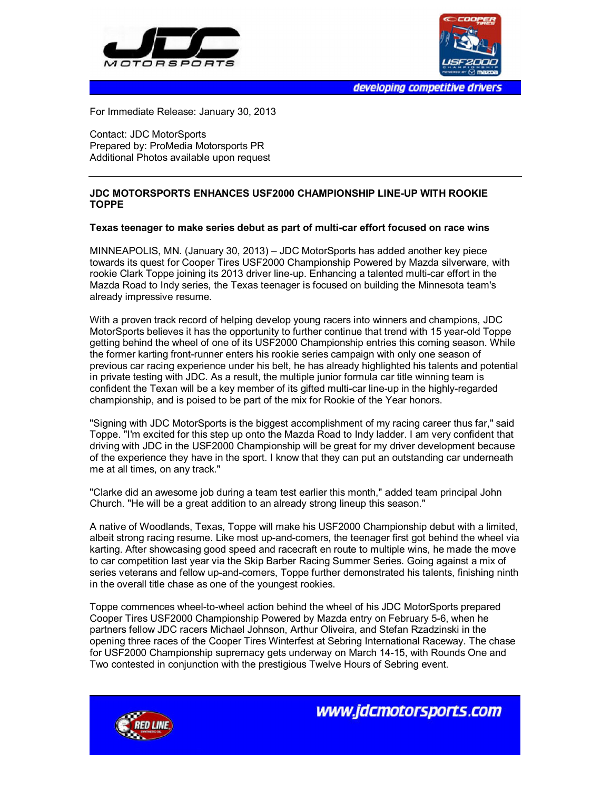



developing competitive drivers

For Immediate Release: January 30, 2013

Contact: JDC MotorSports Prepared by: ProMedia Motorsports PR Additional Photos available upon request

## **JDC MOTORSPORTS ENHANCES USF2000 CHAMPIONSHIP LINE-UP WITH ROOKIE TOPPE**

## **Texas teenager to make series debut as part of multi-car effort focused on race wins**

MINNEAPOLIS, MN. (January 30, 2013) – JDC MotorSports has added another key piece towards its quest for Cooper Tires USF2000 Championship Powered by Mazda silverware, with rookie Clark Toppe joining its 2013 driver line-up. Enhancing a talented multi-car effort in the Mazda Road to Indy series, the Texas teenager is focused on building the Minnesota team's already impressive resume.

With a proven track record of helping develop young racers into winners and champions, JDC MotorSports believes it has the opportunity to further continue that trend with 15 year-old Toppe getting behind the wheel of one of its USF2000 Championship entries this coming season. While the former karting front-runner enters his rookie series campaign with only one season of previous car racing experience under his belt, he has already highlighted his talents and potential in private testing with JDC. As a result, the multiple junior formula car title winning team is confident the Texan will be a key member of its gifted multi-car line-up in the highly-regarded championship, and is poised to be part of the mix for Rookie of the Year honors.

"Signing with JDC MotorSports is the biggest accomplishment of my racing career thus far," said Toppe. "I'm excited for this step up onto the Mazda Road to Indy ladder. I am very confident that driving with JDC in the USF2000 Championship will be great for my driver development because of the experience they have in the sport. I know that they can put an outstanding car underneath me at all times, on any track."

"Clarke did an awesome job during a team test earlier this month," added team principal John Church. "He will be a great addition to an already strong lineup this season."

A native of Woodlands, Texas, Toppe will make his USF2000 Championship debut with a limited, albeit strong racing resume. Like most up-and-comers, the teenager first got behind the wheel via karting. After showcasing good speed and racecraft en route to multiple wins, he made the move to car competition last year via the Skip Barber Racing Summer Series. Going against a mix of series veterans and fellow up-and-comers, Toppe further demonstrated his talents, finishing ninth in the overall title chase as one of the youngest rookies.

Toppe commences wheel-to-wheel action behind the wheel of his JDC MotorSports prepared Cooper Tires USF2000 Championship Powered by Mazda entry on February 5-6, when he partners fellow JDC racers Michael Johnson, Arthur Oliveira, and Stefan Rzadzinski in the opening three races of the Cooper Tires Winterfest at Sebring International Raceway. The chase for USF2000 Championship supremacy gets underway on March 14-15, with Rounds One and Two contested in conjunction with the prestigious Twelve Hours of Sebring event.



www.jdcmotorsports.com